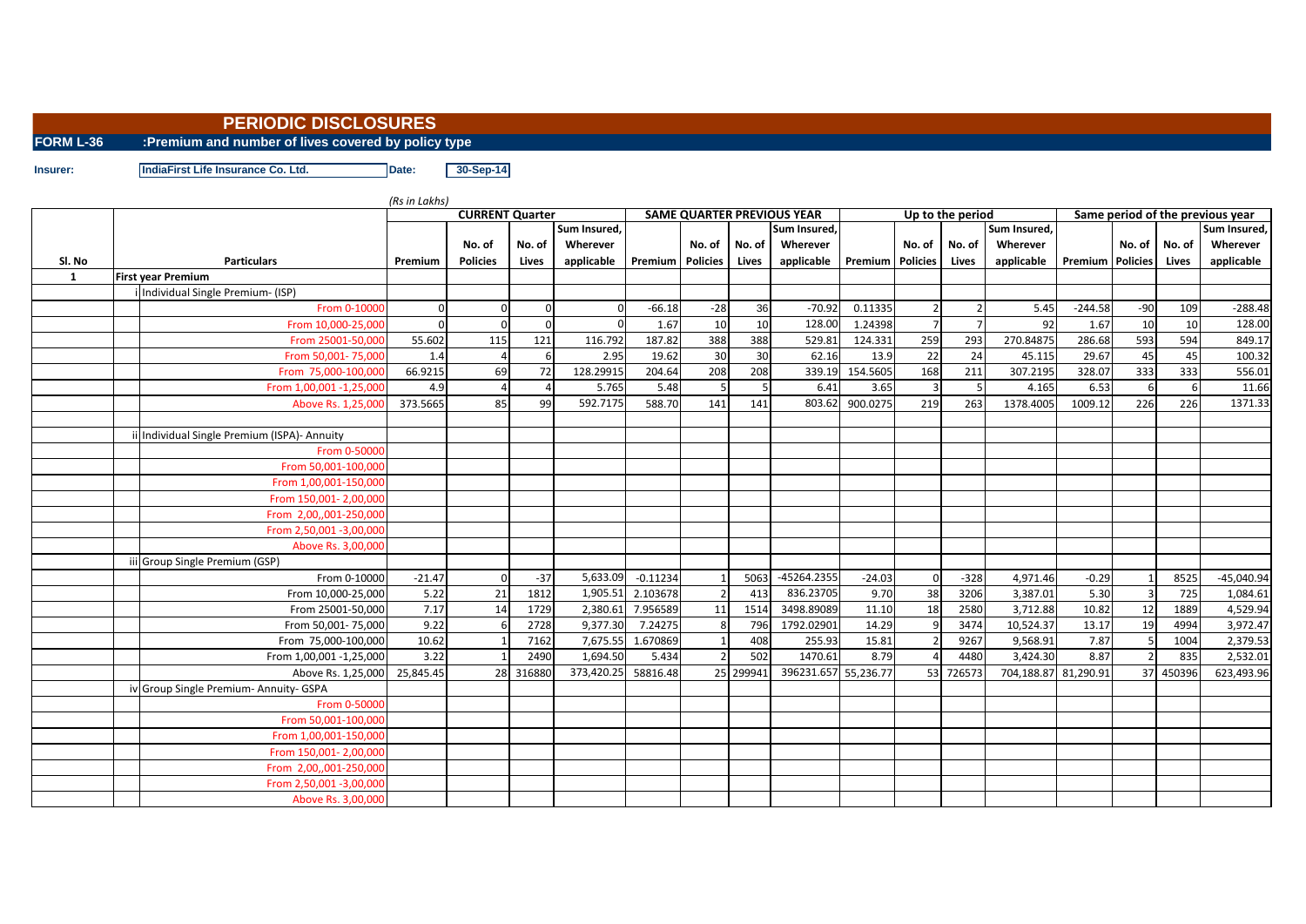## **PERIODIC DISCLOSURES**

**FORM L-36 :Premium and number of lives covered by policy type**

**Insurer: IndiaFirst Life Insurance Co. Ltd. Date: 30-Sep-14** 

|              |                                                               | (Rs in Lakhs)                          |                 |           |            |                                                   |             |           |                      |                    |                |                  |                      |                                                  |                |        |              |  |
|--------------|---------------------------------------------------------------|----------------------------------------|-----------------|-----------|------------|---------------------------------------------------|-------------|-----------|----------------------|--------------------|----------------|------------------|----------------------|--------------------------------------------------|----------------|--------|--------------|--|
|              |                                                               | <b>CURRENT Quarter</b><br>Sum Insured, |                 |           |            | <b>SAME QUARTER PREVIOUS YEAR</b><br>Sum Insured, |             |           |                      |                    |                | Up to the period | Sum Insured,         | Same period of the previous year<br>Sum Insured, |                |        |              |  |
|              |                                                               |                                        | No. of          | No. of    | Wherever   |                                                   | No. of      | No. of    | Wherever             |                    | No. of         | No. of           | Wherever             |                                                  | No. of         | No. of | Wherever     |  |
| SI. No       | <b>Particulars</b>                                            | Premium                                | <b>Policies</b> | Lives     | applicable | <b>Premium</b> Policies                           |             | Lives     | applicable           | Premium   Policies |                | Lives            | applicable           | <b>Premium Policies</b>                          |                | Lives  | applicable   |  |
| $\mathbf{1}$ |                                                               |                                        |                 |           |            |                                                   |             |           |                      |                    |                |                  |                      |                                                  |                |        |              |  |
|              | <b>First year Premium</b><br>Individual Single Premium- (ISP) |                                        |                 |           |            |                                                   |             |           |                      |                    |                |                  |                      |                                                  |                |        |              |  |
|              | From 0-10000                                                  |                                        | $\Omega$        |           |            | $-66.18$                                          |             |           | $-70.92$             | 0.11335            | $\mathfrak{p}$ |                  | 5.45                 | $-244.58$                                        | $-90$          | 109    | $-288.48$    |  |
|              |                                                               |                                        |                 | $\Omega$  | $\Omega$   | 1.67                                              | $-28$<br>10 | 36<br>10  | 128.00               | 1.24398            | $\overline{7}$ |                  | 92                   |                                                  | 10             | 10     | 128.00       |  |
|              | From 10,000-25,000                                            |                                        | $\Omega$        | 121       | 116.792    | 187.82                                            | 388         | 388       | 529.81               |                    |                |                  |                      | 1.67                                             | 593            | 594    | 849.17       |  |
|              | From 25001-50,000                                             | 55.602                                 | 115             |           |            |                                                   |             |           |                      | 124.331            | 259            | 293              | 270.84875            | 286.68                                           |                |        |              |  |
|              | From 50,001-75,000                                            | 1.4                                    |                 |           | 2.95       | 19.62                                             | 30          | 30        | 62.16                | 13.9               | 22             | 24               | 45.115               | 29.67                                            | 45             | 45     | 100.32       |  |
|              | From 75,000-100,000                                           | 66.9215                                | 69              | 72        | 128.29915  | 204.64                                            | 208         | 208       | 339.19               | 154.5605           | 168            | 211              | 307.2195             | 328.07                                           | 333            | 333    | 556.01       |  |
|              | From 1,00,001 -1,25,000                                       | 4.9                                    |                 |           | 5.765      | 5.48                                              | 5           | -5        | 6.41                 | 3.65               | $\overline{3}$ | 5                | 4.165                | 6.53                                             | 6              | 6      | 11.66        |  |
|              | Above Rs. 1,25,000                                            | 373.5665                               | 85              | 99        | 592.7175   | 588.70                                            | 141         | 141       | 803.62               | 900.0275           | 219            | 263              | 1378.4005            | 1009.12                                          | 226            | 226    | 1371.33      |  |
|              | ii Individual Single Premium (ISPA)- Annuity                  |                                        |                 |           |            |                                                   |             |           |                      |                    |                |                  |                      |                                                  |                |        |              |  |
|              | From 0-50000                                                  |                                        |                 |           |            |                                                   |             |           |                      |                    |                |                  |                      |                                                  |                |        |              |  |
|              | From 50,001-100,000                                           |                                        |                 |           |            |                                                   |             |           |                      |                    |                |                  |                      |                                                  |                |        |              |  |
|              | From 1,00,001-150,000                                         |                                        |                 |           |            |                                                   |             |           |                      |                    |                |                  |                      |                                                  |                |        |              |  |
|              | From 150,001-2,00,000                                         |                                        |                 |           |            |                                                   |             |           |                      |                    |                |                  |                      |                                                  |                |        |              |  |
|              | From 2,00,,001-250,000                                        |                                        |                 |           |            |                                                   |             |           |                      |                    |                |                  |                      |                                                  |                |        |              |  |
|              | From 2,50,001 -3,00,000                                       |                                        |                 |           |            |                                                   |             |           |                      |                    |                |                  |                      |                                                  |                |        |              |  |
|              | Above Rs. 3,00,000                                            |                                        |                 |           |            |                                                   |             |           |                      |                    |                |                  |                      |                                                  |                |        |              |  |
|              | iii Group Single Premium (GSP)                                |                                        |                 |           |            |                                                   |             |           |                      |                    |                |                  |                      |                                                  |                |        |              |  |
|              | From 0-10000                                                  | $-21.47$                               | $\Omega$        | $-37$     | 5.633.09   | $-0.11234$                                        |             | 5063      | -45264.2355          | $-24.03$           | $\Omega$       | $-328$           | 4,971.46             | $-0.29$                                          |                | 8525   | $-45,040.94$ |  |
|              | From 10,000-25,000                                            | 5.22                                   | 21              | 1812      | 1,905.51   | 2.103678                                          |             | 413       | 836.23705            | 9.70               | 38             | 3206             | 3,387.01             | 5.30                                             | $\overline{3}$ | 725    | 1,084.61     |  |
|              | From 25001-50,000                                             | 7.17                                   | 14              | 1729      | 2,380.61   | 7.956589                                          | 11          | 1514      | 3498.89089           | 11.10              | 18             | 2580             | 3,712.88             | 10.82                                            | 12             | 1889   | 4,529.94     |  |
|              | From 50,001-75,000                                            | 9.22                                   |                 | 2728      | 9,377.30   | 7.24275                                           | 8           | 796       | 1792.02901           | 14.29              |                | 3474             | 10,524.37            | 13.17                                            | 19             | 4994   | 3,972.47     |  |
|              | From 75,000-100,000                                           | 10.62                                  |                 | 7162      | 7,675.55   | 1.670869                                          |             | 408       | 255.93               | 15.81              |                | 9267             | 9,568.91             | 7.87                                             | -5             | 1004   | 2,379.53     |  |
|              | From 1,00,001 -1,25,000                                       | 3.22                                   |                 | 2490      | 1,694.50   | 5.434                                             |             | 502       | 1470.61              | 8.79               |                | 4480             | 3,424.30             | 8.87                                             | $\overline{z}$ | 835    | 2,532.01     |  |
|              | Above Rs. 1,25,000                                            | 25,845.45                              |                 | 28 316880 | 373,420.25 | 58816.48                                          |             | 25 299941 | 396231.657 55,236.77 |                    |                | 53 726573        | 704,188.87 81,290.91 |                                                  | 37             | 450396 | 623,493.96   |  |
|              | iv Group Single Premium- Annuity- GSPA                        |                                        |                 |           |            |                                                   |             |           |                      |                    |                |                  |                      |                                                  |                |        |              |  |
|              | From 0-50000                                                  |                                        |                 |           |            |                                                   |             |           |                      |                    |                |                  |                      |                                                  |                |        |              |  |
|              | From 50,001-100,000                                           |                                        |                 |           |            |                                                   |             |           |                      |                    |                |                  |                      |                                                  |                |        |              |  |
|              | From 1,00,001-150,000                                         |                                        |                 |           |            |                                                   |             |           |                      |                    |                |                  |                      |                                                  |                |        |              |  |
|              | From 150,001-2,00,000                                         |                                        |                 |           |            |                                                   |             |           |                      |                    |                |                  |                      |                                                  |                |        |              |  |
|              | From 2,00,,001-250,000                                        |                                        |                 |           |            |                                                   |             |           |                      |                    |                |                  |                      |                                                  |                |        |              |  |
|              | From 2,50,001 -3,00,000                                       |                                        |                 |           |            |                                                   |             |           |                      |                    |                |                  |                      |                                                  |                |        |              |  |
|              | Above Rs. 3,00,000                                            |                                        |                 |           |            |                                                   |             |           |                      |                    |                |                  |                      |                                                  |                |        |              |  |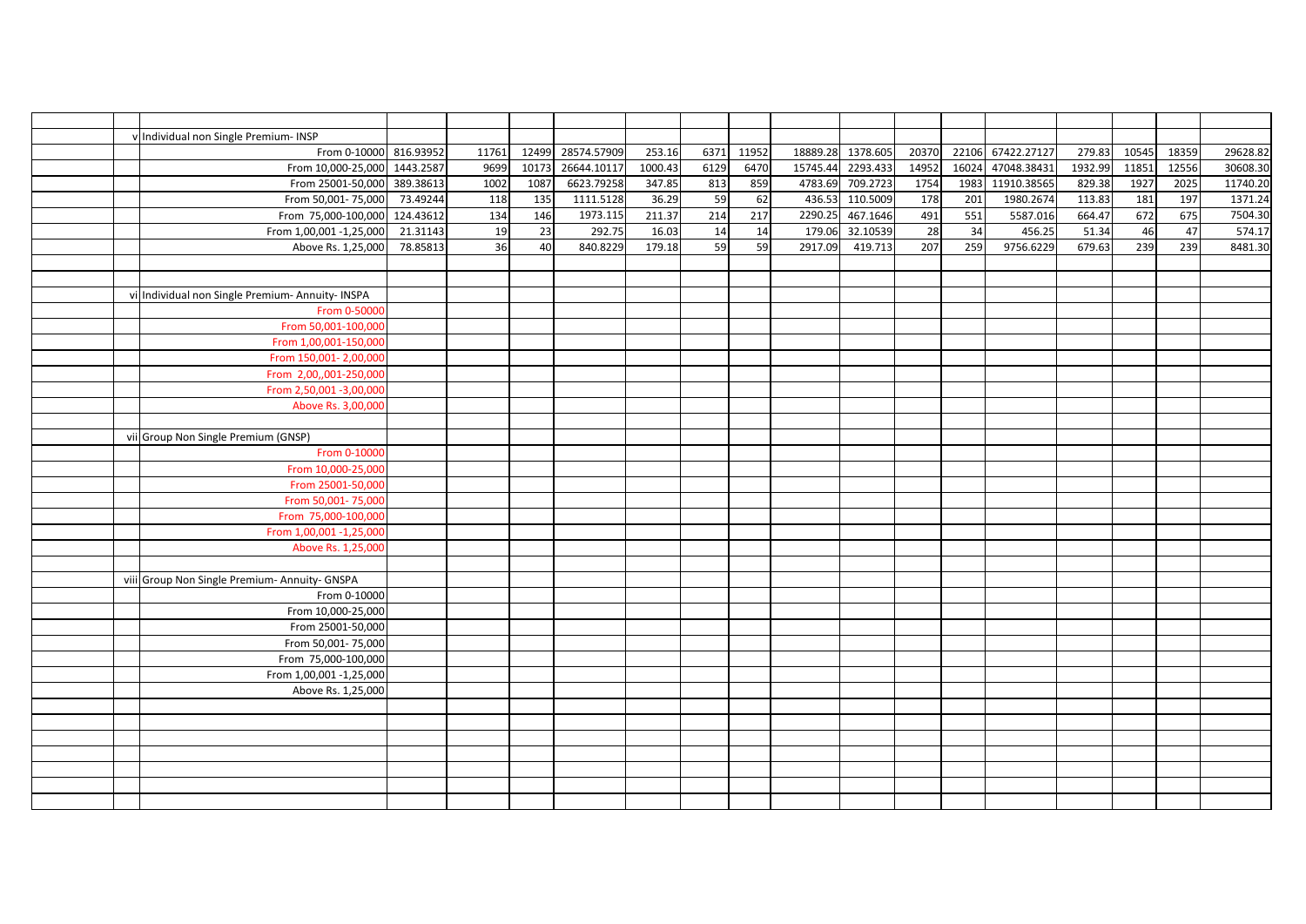|  | v Individual non Single Premium- INSP            |          |       |       |             |         |      |       |         |                   |       |                 |             |         |       |       |          |
|--|--------------------------------------------------|----------|-------|-------|-------------|---------|------|-------|---------|-------------------|-------|-----------------|-------------|---------|-------|-------|----------|
|  | From 0-10000 816.93952                           |          | 11761 | 12499 | 28574.57909 | 253.16  | 6371 | 11952 |         | 18889.28 1378.605 | 20370 | 22106           | 67422.27127 | 279.83  | 10545 | 18359 | 29628.82 |
|  | From 10,000-25,000 1443.2587                     |          |       | 10173 | 26644.10117 | 1000.43 | 6129 | 6470  |         | 15745.44 2293.433 | 14952 | 16024           | 47048.38431 | 1932.99 | 11851 | 12556 |          |
|  |                                                  |          | 9699  |       |             |         |      | 859   |         |                   |       |                 |             |         | 1927  |       | 30608.30 |
|  | From 25001-50,000 389.38613                      | 73.49244 | 1002  | 1087  | 6623.79258  | 347.85  | 813  |       |         | 4783.69 709.2723  | 1754  | 1983            | 11910.38565 | 829.38  |       | 2025  | 11740.20 |
|  | From 50,001-75,000                               |          | 118   | 135   | 1111.5128   | 36.29   | 59   | 62    |         | 436.53 110.5009   | 178   | 201             | 1980.2674   | 113.83  | 181   | 197   | 1371.24  |
|  | From 75,000-100,000 124.43612                    |          | 134   | 146   | 1973.115    | 211.37  | 214  | 217   | 2290.25 | 467.1646          | 491   | 551             | 5587.016    | 664.47  | 672   | 675   | 7504.30  |
|  | From 1,00,001 -1,25,000                          | 21.31143 | 19    | 23    | 292.75      | 16.03   | 14   | 14    | 179.06  | 32.10539          | 28    | $\overline{34}$ | 456.25      | 51.34   | 46    | 47    | 574.17   |
|  | Above Rs. 1,25,000                               | 78.85813 | 36    | 40    | 840.8229    | 179.18  | 59   | 59    | 2917.09 | 419.713           | 207   | 259             | 9756.6229   | 679.63  | 239   | 239   | 8481.30  |
|  |                                                  |          |       |       |             |         |      |       |         |                   |       |                 |             |         |       |       |          |
|  |                                                  |          |       |       |             |         |      |       |         |                   |       |                 |             |         |       |       |          |
|  | vi Individual non Single Premium- Annuity- INSPA |          |       |       |             |         |      |       |         |                   |       |                 |             |         |       |       |          |
|  | From 0-50000                                     |          |       |       |             |         |      |       |         |                   |       |                 |             |         |       |       |          |
|  | From 50,001-100,000                              |          |       |       |             |         |      |       |         |                   |       |                 |             |         |       |       |          |
|  | From 1,00,001-150,000                            |          |       |       |             |         |      |       |         |                   |       |                 |             |         |       |       |          |
|  | From 150,001-2,00,000                            |          |       |       |             |         |      |       |         |                   |       |                 |             |         |       |       |          |
|  | From 2,00,,001-250,000                           |          |       |       |             |         |      |       |         |                   |       |                 |             |         |       |       |          |
|  | From 2,50,001 -3,00,000                          |          |       |       |             |         |      |       |         |                   |       |                 |             |         |       |       |          |
|  | Above Rs. 3,00,000                               |          |       |       |             |         |      |       |         |                   |       |                 |             |         |       |       |          |
|  |                                                  |          |       |       |             |         |      |       |         |                   |       |                 |             |         |       |       |          |
|  | vii Group Non Single Premium (GNSP)              |          |       |       |             |         |      |       |         |                   |       |                 |             |         |       |       |          |
|  | From 0-10000                                     |          |       |       |             |         |      |       |         |                   |       |                 |             |         |       |       |          |
|  | From 10,000-25,000                               |          |       |       |             |         |      |       |         |                   |       |                 |             |         |       |       |          |
|  | From 25001-50,000                                |          |       |       |             |         |      |       |         |                   |       |                 |             |         |       |       |          |
|  | From 50,001-75,000                               |          |       |       |             |         |      |       |         |                   |       |                 |             |         |       |       |          |
|  | From 75,000-100,000                              |          |       |       |             |         |      |       |         |                   |       |                 |             |         |       |       |          |
|  | From 1,00,001 - 1,25,000                         |          |       |       |             |         |      |       |         |                   |       |                 |             |         |       |       |          |
|  | Above Rs. 1,25,000                               |          |       |       |             |         |      |       |         |                   |       |                 |             |         |       |       |          |
|  |                                                  |          |       |       |             |         |      |       |         |                   |       |                 |             |         |       |       |          |
|  | viii Group Non Single Premium- Annuity- GNSPA    |          |       |       |             |         |      |       |         |                   |       |                 |             |         |       |       |          |
|  | From 0-10000                                     |          |       |       |             |         |      |       |         |                   |       |                 |             |         |       |       |          |
|  | From 10,000-25,000                               |          |       |       |             |         |      |       |         |                   |       |                 |             |         |       |       |          |
|  | From 25001-50,000                                |          |       |       |             |         |      |       |         |                   |       |                 |             |         |       |       |          |
|  | From 50,001-75,000                               |          |       |       |             |         |      |       |         |                   |       |                 |             |         |       |       |          |
|  | From 75,000-100,000                              |          |       |       |             |         |      |       |         |                   |       |                 |             |         |       |       |          |
|  | From 1,00,001 -1,25,000                          |          |       |       |             |         |      |       |         |                   |       |                 |             |         |       |       |          |
|  | Above Rs. 1,25,000                               |          |       |       |             |         |      |       |         |                   |       |                 |             |         |       |       |          |
|  |                                                  |          |       |       |             |         |      |       |         |                   |       |                 |             |         |       |       |          |
|  |                                                  |          |       |       |             |         |      |       |         |                   |       |                 |             |         |       |       |          |
|  |                                                  |          |       |       |             |         |      |       |         |                   |       |                 |             |         |       |       |          |
|  |                                                  |          |       |       |             |         |      |       |         |                   |       |                 |             |         |       |       |          |
|  |                                                  |          |       |       |             |         |      |       |         |                   |       |                 |             |         |       |       |          |
|  |                                                  |          |       |       |             |         |      |       |         |                   |       |                 |             |         |       |       |          |
|  |                                                  |          |       |       |             |         |      |       |         |                   |       |                 |             |         |       |       |          |